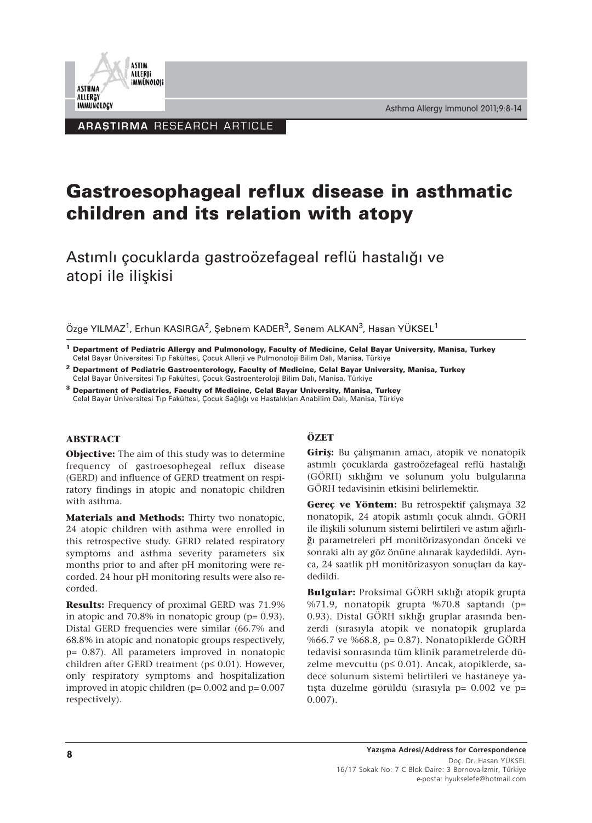



**ARAȘTIRMA RESEARCH ARTICLE** 

# **Gastroesophageal reflux disease in asthmatic children and its relation with atopy**

Astımlı çocuklarda gastroözefageal reflü hastalığı ve atopi ile ilişkisi

Özge YILMAZ<sup>1</sup>, Erhun KASIRGA<sup>2</sup>, Şebnem KADER<sup>3</sup>, Senem ALKAN<sup>3</sup>, Hasan YÜKSEL<sup>1</sup>

- **<sup>1</sup> Department of Pediatric Allergy and Pulmonology, Faculty of Medicine, Celal Bayar University, Manisa, Turkey** Celal Bayar Üniversitesi Tıp Fakültesi, Çocuk Allerji ve Pulmonoloji Bilim Dalı, Manisa, Türkiye
- **<sup>2</sup> Department of Pediatric Gastroenterology, Faculty of Medicine, Celal Bayar University, Manisa, Turkey** Celal Bayar Üniversitesi Tıp Fakültesi, Çocuk Gastroenteroloji Bilim Dalı, Manisa, Türkiye
- **<sup>3</sup> Department of Pediatrics, Faculty of Medicine, Celal Bayar University, Manisa, Turkey** Celal Bayar Üniversitesi Tıp Fakültesi, Çocuk Sağlığı ve Hastalıkları Anabilim Dalı, Manisa, Türkiye

#### **ABSTRACT**

**Objective:** The aim of this study was to determine frequency of gastroesophegeal reflux disease (GERD) and influence of GERD treatment on respiratory findings in atopic and nonatopic children with asthma.

**Materials and Methods:** Thirty two nonatopic, 24 atopic children with asthma were enrolled in this retrospective study. GERD related respiratory symptoms and asthma severity parameters six months prior to and after pH monitoring were recorded. 24 hour pH monitoring results were also recorded.

**Results:** Frequency of proximal GERD was 71.9% in atopic and  $70.8\%$  in nonatopic group ( $p= 0.93$ ). Distal GERD frequencies were similar (66.7% and 68.8% in atopic and nonatopic groups respectively, p= 0.87). All parameters improved in nonatopic children after GERD treatment (p≤ 0.01). However, only respiratory symptoms and hospitalization improved in atopic children ( $p= 0.002$  and  $p= 0.007$ respectively).

## **ÖZET**

**Giriş:** Bu çalışmanın amacı, atopik ve nonatopik astımlı çocuklarda gastroözefageal reflü hastalığı (GÖRH) sıklığını ve solunum yolu bulgularına GÖRH tedavisinin etkisini belirlemektir.

**Gereç ve Yöntem:** Bu retrospektif çalışmaya 32 nonatopik, 24 atopik astımlı çocuk alındı. GÖRH ile ilişkili solunum sistemi belirtileri ve astım ağırlığı parametreleri pH monitörizasyondan önceki ve sonraki altı ay göz önüne alınarak kaydedildi. Ayrıca, 24 saatlik pH monitörizasyon sonuçları da kaydedildi.

**Bulgular:** Proksimal GÖRH sıklığı atopik grupta %71.9, nonatopik grupta %70.8 saptandı (p= 0.93). Distal GÖRH sıklığı gruplar arasında benzerdi (sırasıyla atopik ve nonatopik gruplarda %66.7 ve %68.8, p= 0.87). Nonatopiklerde GÖRH tedavisi sonrasında tüm klinik parametrelerde düzelme mevcuttu (p≤ 0.01). Ancak, atopiklerde, sadece solunum sistemi belirtileri ve hastaneye yatışta düzelme görüldü (sırasıyla p= 0.002 ve p= 0.007).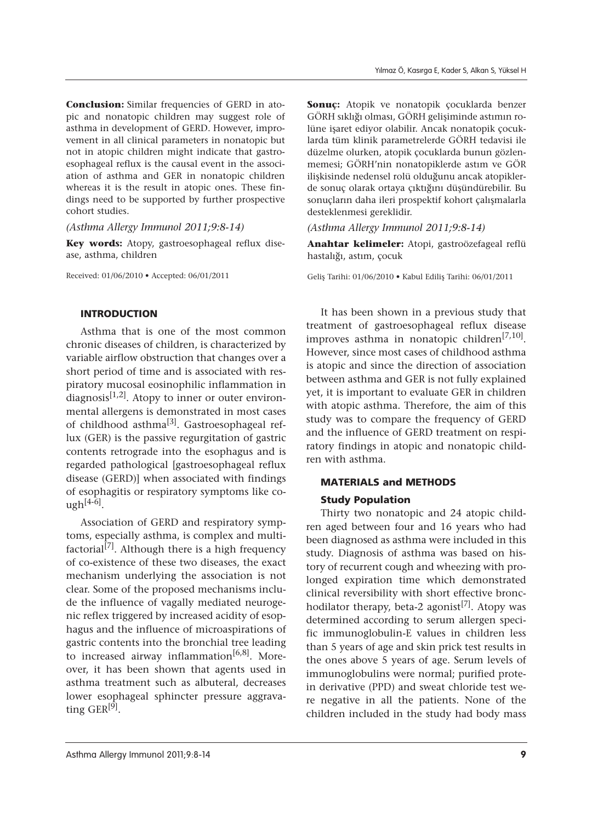**Conclusion:** Similar frequencies of GERD in atopic and nonatopic children may suggest role of asthma in development of GERD. However, improvement in all clinical parameters in nonatopic but not in atopic children might indicate that gastroesophageal reflux is the causal event in the association of asthma and GER in nonatopic children whereas it is the result in atopic ones. These findings need to be supported by further prospective cohort studies.

*(Asthma Allergy Immunol 2011;9:8-14)*

**Key words:** Atopy, gastroesophageal reflux disease, asthma, children

Received: 01/06/2010 • Accepted: 06/01/2011

#### INTRODUCTION

Asthma that is one of the most common chronic diseases of children, is characterized by variable airflow obstruction that changes over a short period of time and is associated with respiratory mucosal eosinophilic inflammation in diagnosis $[1,2]$ . Atopy to inner or outer environmental allergens is demonstrated in most cases of childhood asthma[3]. Gastroesophageal reflux (GER) is the passive regurgitation of gastric contents retrograde into the esophagus and is regarded pathological [gastroesophageal reflux disease (GERD)] when associated with findings of esophagitis or respiratory symptoms like co $ugh^{[4-6]}$ .

Association of GERD and respiratory symptoms, especially asthma, is complex and multifactorial $\overline{[7]}$ . Although there is a high frequency of co-existence of these two diseases, the exact mechanism underlying the association is not clear. Some of the proposed mechanisms include the influence of vagally mediated neurogenic reflex triggered by increased acidity of esophagus and the influence of microaspirations of gastric contents into the bronchial tree leading to increased airway inflammation<sup>[6,8]</sup>. Moreover, it has been shown that agents used in asthma treatment such as albuteral, decreases lower esophageal sphincter pressure aggravating  $GER^{[9]}$ .

**Sonuç:** Atopik ve nonatopik çocuklarda benzer GÖRH sıklığı olması, GÖRH gelişiminde astımın rolüne işaret ediyor olabilir. Ancak nonatopik çocuklarda tüm klinik parametrelerde GÖRH tedavisi ile düzelme olurken, atopik çocuklarda bunun gözlenmemesi; GÖRH'nin nonatopiklerde astım ve GÖR ilişkisinde nedensel rolü olduğunu ancak atopiklerde sonuç olarak ortaya çıktığını düşündürebilir. Bu sonuçların daha ileri prospektif kohort çalışmalarla desteklenmesi gereklidir.

*(Asthma Allergy Immunol 2011;9:8-14)*

**Anahtar kelimeler:** Atopi, gastroözefageal reflü hastalığı, astım, çocuk

Geliş Tarihi: 01/06/2010 • Kabul Ediliş Tarihi: 06/01/2011

It has been shown in a previous study that treatment of gastroesophageal reflux disease improves asthma in nonatopic children<sup>[7,10]</sup>. However, since most cases of childhood asthma is atopic and since the direction of association between asthma and GER is not fully explained yet, it is important to evaluate GER in children with atopic asthma. Therefore, the aim of this study was to compare the frequency of GERD and the influence of GERD treatment on respiratory findings in atopic and nonatopic children with asthma.

# MATERIALS and METHODS Study Population

Thirty two nonatopic and 24 atopic children aged between four and 16 years who had been diagnosed as asthma were included in this study. Diagnosis of asthma was based on history of recurrent cough and wheezing with prolonged expiration time which demonstrated clinical reversibility with short effective bronchodilator therapy, beta-2 agonist<sup>[7]</sup>. Atopy was determined according to serum allergen specific immunoglobulin-E values in children less than 5 years of age and skin prick test results in the ones above 5 years of age. Serum levels of immunoglobulins were normal; purified protein derivative (PPD) and sweat chloride test were negative in all the patients. None of the children included in the study had body mass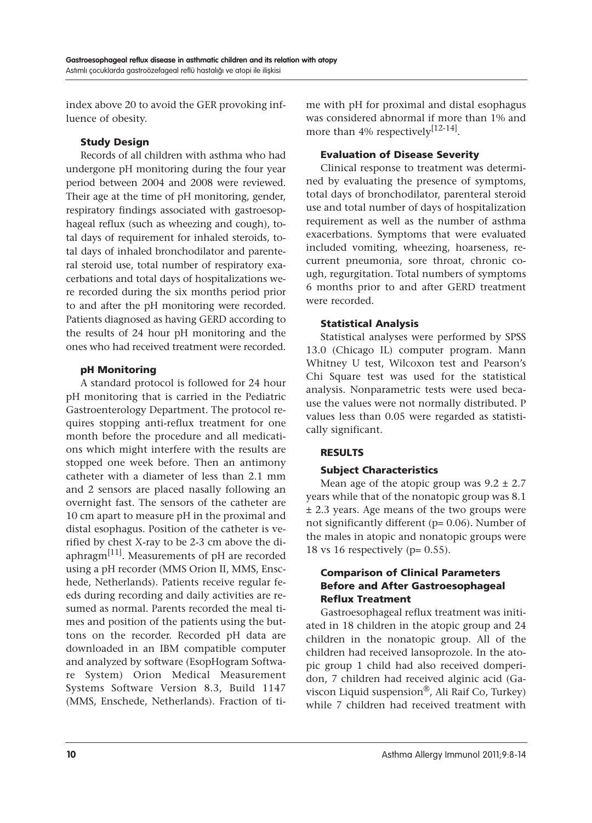index above 20 to avoid the GER provoking influence of obesity.

## Study Design

Records of all children with asthma who had undergone pH monitoring during the four year period between 2004 and 2008 were reviewed. Their age at the time of pH monitoring, gender, respiratory findings associated with gastroesophageal reflux (such as wheezing and cough), total days of requirement for inhaled steroids, total days of inhaled bronchodilator and parenteral steroid use, total number of respiratory exacerbations and total days of hospitalizations were recorded during the six months period prior to and after the pH monitoring were recorded. Patients diagnosed as having GERD according to the results of 24 hour pH monitoring and the ones who had received treatment were recorded.

## pH Monitoring

A standard protocol is followed for 24 hour pH monitoring that is carried in the Pediatric Gastroenterology Department. The protocol requires stopping anti-reflux treatment for one month before the procedure and all medications which might interfere with the results are stopped one week before. Then an antimony catheter with a diameter of less than 2.1 mm and 2 sensors are placed nasally following an overnight fast. The sensors of the catheter are 10 cm apart to measure pH in the proximal and distal esophagus. Position of the catheter is verified by chest X-ray to be 2-3 cm above the diaphragm<sup>[11]</sup>. Measurements of pH are recorded using a pH recorder (MMS Orion II, MMS, Enschede, Netherlands). Patients receive regular feeds during recording and daily activities are resumed as normal. Parents recorded the meal times and position of the patients using the buttons on the recorder. Recorded pH data are downloaded in an IBM compatible computer and analyzed by software (EsopHogram Software System) Orion Medical Measurement Systems Software Version 8.3, Build 1147 (MMS, Enschede, Netherlands). Fraction of time with pH for proximal and distal esophagus was considered abnormal if more than 1% and more than 4% respectively<sup>[12-14]</sup>.

## Evaluation of Disease Severity

Clinical response to treatment was determined by evaluating the presence of symptoms, total days of bronchodilator, parenteral steroid use and total number of days of hospitalization requirement as well as the number of asthma exacerbations. Symptoms that were evaluated included vomiting, wheezing, hoarseness, recurrent pneumonia, sore throat, chronic cough, regurgitation. Total numbers of symptoms 6 months prior to and after GERD treatment were recorded.

## Statistical Analysis

Statistical analyses were performed by SPSS 13.0 (Chicago IL) computer program. Mann Whitney U test, Wilcoxon test and Pearson's Chi Square test was used for the statistical analysis. Nonparametric tests were used because the values were not normally distributed. P values less than 0.05 were regarded as statistically significant.

# RESULTS

# Subject Characteristics

Mean age of the atopic group was  $9.2 \pm 2.7$ years while that of the nonatopic group was 8.1 ± 2.3 years. Age means of the two groups were not significantly different (p= 0.06). Number of the males in atopic and nonatopic groups were 18 vs 16 respectively ( $p= 0.55$ ).

## Comparison of Clinical Parameters Before and After Gastroesophageal Reflux Treatment

Gastroesophageal reflux treatment was initiated in 18 children in the atopic group and 24 children in the nonatopic group. All of the children had received lansoprozole. In the atopic group 1 child had also received domperidon, 7 children had received alginic acid (Gaviscon Liquid suspension<sup>®</sup>, Ali Raif Co, Turkey) while 7 children had received treatment with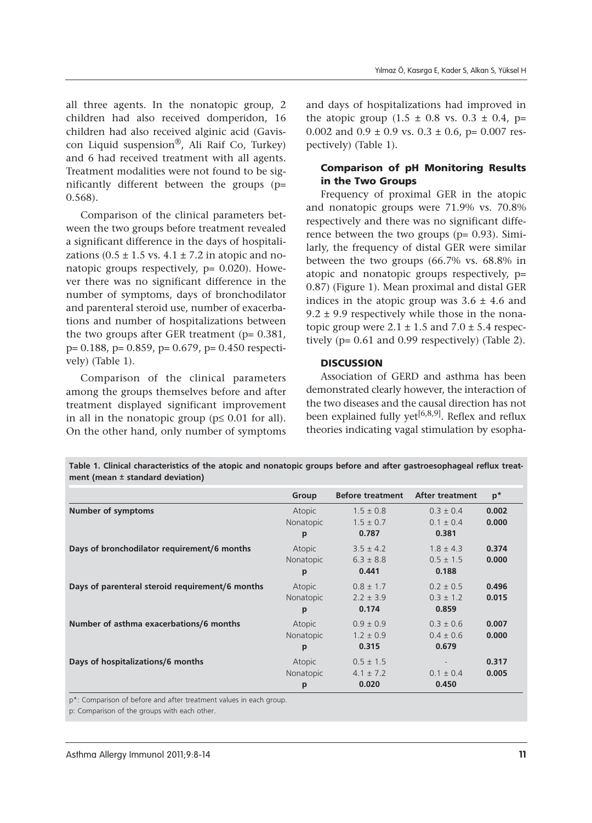all three agents. In the nonatopic group, 2 children had also received domperidon, 16 children had also received alginic acid (Gaviscon Liquid suspension<sup>®</sup>, Ali Raif Co, Turkey) and 6 had received treatment with all agents. Treatment modalities were not found to be significantly different between the groups (p= 0.568).

Comparison of the clinical parameters between the two groups before treatment revealed a significant difference in the days of hospitalizations  $(0.5 \pm 1.5 \text{ vs. } 4.1 \pm 7.2 \text{ in atopic and no-}$ natopic groups respectively,  $p = 0.020$ ). However there was no significant difference in the number of symptoms, days of bronchodilator and parenteral steroid use, number of exacerbations and number of hospitalizations between the two groups after GER treatment ( $p= 0.381$ , p= 0.188, p= 0.859, p= 0.679, p= 0.450 respectively) (Table 1).

Comparison of the clinical parameters among the groups themselves before and after treatment displayed significant improvement in all in the nonatopic group ( $p \leq 0.01$  for all). On the other hand, only number of symptoms

and days of hospitalizations had improved in the atopic group  $(1.5 \pm 0.8 \text{ vs. } 0.3 \pm 0.4, \text{ p}$ = 0.002 and  $0.9 \pm 0.9$  vs.  $0.3 \pm 0.6$ , p= 0.007 respectively) (Table 1).

#### Comparison of pH Monitoring Results in the Two Groups

Frequency of proximal GER in the atopic and nonatopic groups were 71.9% vs. 70.8% respectively and there was no significant difference between the two groups  $(p= 0.93)$ . Similarly, the frequency of distal GER were similar between the two groups (66.7% vs. 68.8% in atopic and nonatopic groups respectively, p= 0.87) (Figure 1). Mean proximal and distal GER indices in the atopic group was  $3.6 \pm 4.6$  and  $9.2 \pm 9.9$  respectively while those in the nonatopic group were  $2.1 \pm 1.5$  and  $7.0 \pm 5.4$  respectively (p= 0.61 and 0.99 respectively) (Table 2).

#### **DISCUSSION**

Association of GERD and asthma has been demonstrated clearly however, the interaction of the two diseases and the causal direction has not been explained fully yet<sup>[6,8,9]</sup>. Reflex and reflux theories indicating vagal stimulation by esopha-

| ment (mean $\pm$ standard deviation)            |           |                         |                        |       |
|-------------------------------------------------|-----------|-------------------------|------------------------|-------|
|                                                 | Group     | <b>Before treatment</b> | <b>After treatment</b> | $p^*$ |
| <b>Number of symptoms</b>                       | Atopic    | $1.5 \pm 0.8$           | $0.3 \pm 0.4$          | 0.002 |
|                                                 | Nonatopic | $1.5 \pm 0.7$           | $0.1 \pm 0.4$          | 0.000 |
|                                                 | p         | 0.787                   | 0.381                  |       |
| Days of bronchodilator requirement/6 months     | Atopic    | $3.5 \pm 4.2$           | $1.8 \pm 4.3$          | 0.374 |
|                                                 | Nonatopic | $6.3 \pm 8.8$           | $0.5 \pm 1.5$          | 0.000 |
|                                                 | p         | 0.441                   | 0.188                  |       |
| Days of parenteral steroid requirement/6 months | Atopic    | $0.8 \pm 1.7$           | $0.2 \pm 0.5$          | 0.496 |
|                                                 | Nonatopic | $2.2 \pm 3.9$           | $0.3 \pm 1.2$          | 0.015 |
|                                                 | p         | 0.174                   | 0.859                  |       |
| Number of asthma exacerbations/6 months         | Atopic    | $0.9 \pm 0.9$           | $0.3 \pm 0.6$          | 0.007 |
|                                                 | Nonatopic | $1.2 \pm 0.9$           | $0.4 \pm 0.6$          | 0.000 |
|                                                 | p         | 0.315                   | 0.679                  |       |
| Days of hospitalizations/6 months               | Atopic    | $0.5 \pm 1.5$           |                        | 0.317 |
|                                                 | Nonatopic | $4.1 \pm 7.2$           | $0.1 \pm 0.4$          | 0.005 |
|                                                 | p         | 0.020                   | 0.450                  |       |

**Table 1. Clinical characteristics of the atopic and nonatopic groups before and after gastroesophageal reflux treatment (mean ± standard deviation)** 

p\*: Comparison of before and after treatment values in each group.

p: Comparison of the groups with each other.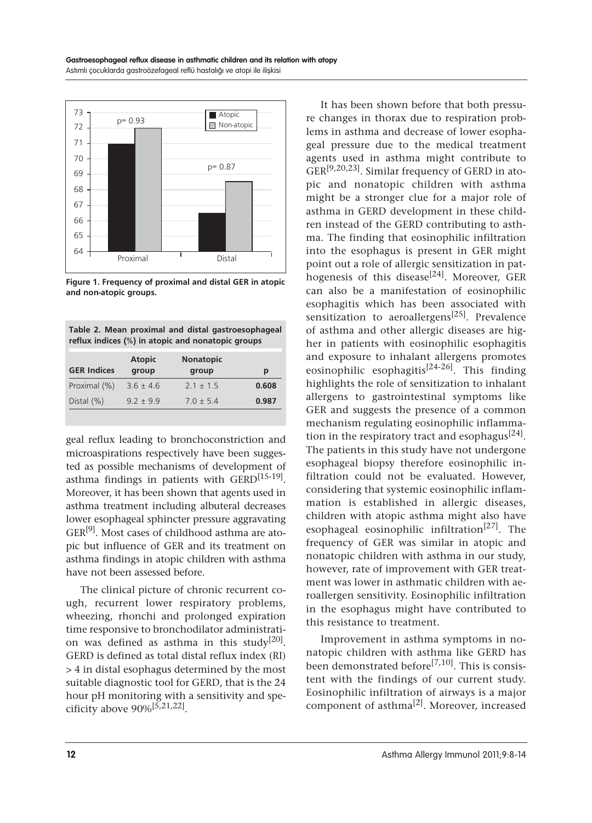

**Figure 1. Frequency of proximal and distal GER in atopic and non-atopic groups.**

|                                                   |  |  |  |  |  | Table 2. Mean proximal and distal gastroesophageal |  |
|---------------------------------------------------|--|--|--|--|--|----------------------------------------------------|--|
| reflux indices (%) in atopic and nonatopic groups |  |  |  |  |  |                                                    |  |

| group         | group         | р     |
|---------------|---------------|-------|
| $3.6 \pm 4.6$ | $2.1 \pm 1.5$ | 0.608 |
| $97 + 99$     | $70 + 54$     | 0.987 |
|               |               |       |

geal reflux leading to bronchoconstriction and microaspirations respectively have been suggested as possible mechanisms of development of asthma findings in patients with GERD<sup>[15-19]</sup>. Moreover, it has been shown that agents used in asthma treatment including albuteral decreases lower esophageal sphincter pressure aggravating GER<sup>[9]</sup>. Most cases of childhood asthma are atopic but influence of GER and its treatment on asthma findings in atopic children with asthma have not been assessed before.

The clinical picture of chronic recurrent cough, recurrent lower respiratory problems, wheezing, rhonchi and prolonged expiration time responsive to bronchodilator administration was defined as asthma in this study<sup>[20]</sup>. GERD is defined as total distal reflux index (RI) > 4 in distal esophagus determined by the most suitable diagnostic tool for GERD, that is the 24 hour pH monitoring with a sensitivity and specificity above  $90\%$ <sup>[5,21,22]</sup>.

It has been shown before that both pressure changes in thorax due to respiration problems in asthma and decrease of lower esophageal pressure due to the medical treatment agents used in asthma might contribute to GER[9,20,23]. Similar frequency of GERD in atopic and nonatopic children with asthma might be a stronger clue for a major role of asthma in GERD development in these children instead of the GERD contributing to asthma. The finding that eosinophilic infiltration into the esophagus is present in GER might point out a role of allergic sensitization in pathogenesis of this disease<sup>[24]</sup>. Moreover, GER can also be a manifestation of eosinophilic esophagitis which has been associated with sensitization to aeroallergens<sup>[25]</sup>. Prevalence of asthma and other allergic diseases are higher in patients with eosinophilic esophagitis and exposure to inhalant allergens promotes eosinophilic esophagitis<sup>[24-26]</sup>. This finding highlights the role of sensitization to inhalant allergens to gastrointestinal symptoms like GER and suggests the presence of a common mechanism regulating eosinophilic inflammation in the respiratory tract and esophagus<sup>[24]</sup>. The patients in this study have not undergone esophageal biopsy therefore eosinophilic infiltration could not be evaluated. However, considering that systemic eosinophilic inflammation is established in allergic diseases, children with atopic asthma might also have esophageal eosinophilic infiltration<sup>[27]</sup>. The frequency of GER was similar in atopic and nonatopic children with asthma in our study, however, rate of improvement with GER treatment was lower in asthmatic children with aeroallergen sensitivity. Eosinophilic infiltration in the esophagus might have contributed to this resistance to treatment.

Improvement in asthma symptoms in nonatopic children with asthma like GERD has been demonstrated before<sup>[7,10]</sup>. This is consistent with the findings of our current study. Eosinophilic infiltration of airways is a major component of asthma[2]. Moreover, increased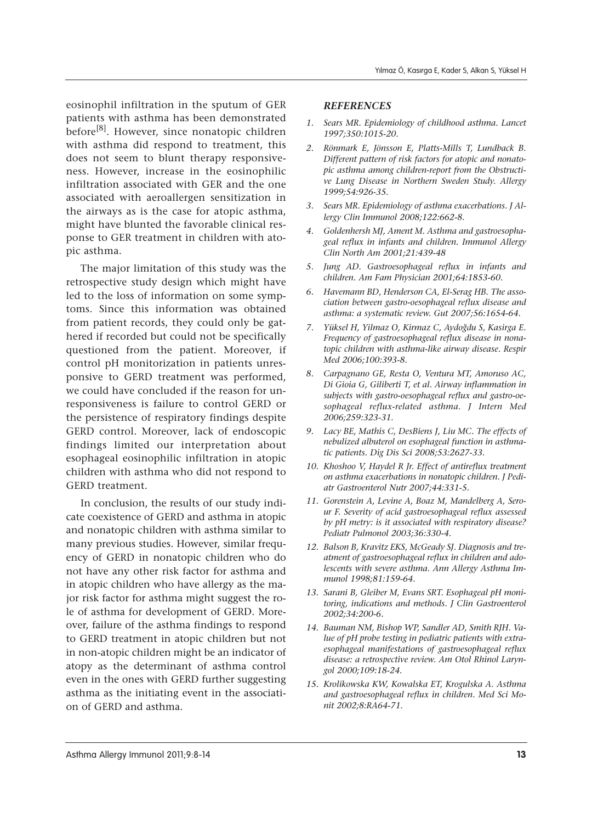eosinophil infiltration in the sputum of GER patients with asthma has been demonstrated before<sup>[8]</sup>. However, since nonatopic children with asthma did respond to treatment, this does not seem to blunt therapy responsiveness. However, increase in the eosinophilic infiltration associated with GER and the one associated with aeroallergen sensitization in the airways as is the case for atopic asthma, might have blunted the favorable clinical response to GER treatment in children with atopic asthma.

The major limitation of this study was the retrospective study design which might have led to the loss of information on some symptoms. Since this information was obtained from patient records, they could only be gathered if recorded but could not be specifically questioned from the patient. Moreover, if control pH monitorization in patients unresponsive to GERD treatment was performed, we could have concluded if the reason for unresponsiveness is failure to control GERD or the persistence of respiratory findings despite GERD control. Moreover, lack of endoscopic findings limited our interpretation about esophageal eosinophilic infiltration in atopic children with asthma who did not respond to GERD treatment.

In conclusion, the results of our study indicate coexistence of GERD and asthma in atopic and nonatopic children with asthma similar to many previous studies. However, similar frequency of GERD in nonatopic children who do not have any other risk factor for asthma and in atopic children who have allergy as the major risk factor for asthma might suggest the role of asthma for development of GERD. Moreover, failure of the asthma findings to respond to GERD treatment in atopic children but not in non-atopic children might be an indicator of atopy as the determinant of asthma control even in the ones with GERD further suggesting asthma as the initiating event in the association of GERD and asthma.

#### *REFERENCES*

- *1. Sears MR. Epidemiology of childhood asthma. Lancet 1997;350:1015-20.*
- *2. Rönmark E, Jönsson E, Platts-Mills T, Lundback B. Different pattern of risk factors for atopic and nonatopic asthma among children-report from the Obstructive Lung Disease in Northern Sweden Study. Allergy 1999;54:926-35.*
- *3. Sears MR. Epidemiology of asthma exacerbations. J Allergy Clin Immunol 2008;122:662-8.*
- *4. Goldenhersh MJ, Ament M. Asthma and gastroesophageal reflux in infants and children. Immunol Allergy Clin North Am 2001;21:439-48*
- *5. Jung AD. Gastroesophageal reflux in infants and children. Am Fam Physician 2001;64:1853-60.*
- *6. Havemann BD, Henderson CA, El-Serag HB. The association between gastro-oesophageal reflux disease and asthma: a systematic review. Gut 2007;56:1654-64.*
- *7. Yüksel H, Yilmaz O, Kirmaz C, Aydoğdu S, Kasirga E. Frequency of gastroesophageal reflux disease in nonatopic children with asthma-like airway disease. Respir Med 2006;100:393-8.*
- *8. Carpagnano GE, Resta O, Ventura MT, Amoruso AC, Di Gioia G, Giliberti T, et al. Airway inflammation in subjects with gastro-oesophageal reflux and gastro-oesophageal reflux-related asthma. J Intern Med 2006;259:323-31.*
- *9. Lacy BE, Mathis C, DesBiens J, Liu MC. The effects of nebulized albuterol on esophageal function in asthmatic patients. Dig Dis Sci 2008;53:2627-33.*
- *10. Khoshoo V, Haydel R Jr. Effect of antireflux treatment on asthma exacerbations in nonatopic children. J Pediatr Gastroenterol Nutr 2007;44:331-5.*
- *11. Gorenstein A, Levine A, Boaz M, Mandelberg A, Serour F. Severity of acid gastroesophageal reflux assessed by pH metry: is it associated with respiratory disease? Pediatr Pulmonol 2003;36:330-4.*
- *12. Balson B, Kravitz EKS, McGeady SJ. Diagnosis and treatment of gastroesophageal reflux in children and adolescents with severe asthma. Ann Allergy Asthma Immunol 1998;81:159-64.*
- *13. Sarani B, Gleiber M, Evans SRT. Esophageal pH monitoring, indications and methods. J Clin Gastroenterol 2002;34:200-6.*
- *14. Bauman NM, Bishop WP, Sandler AD, Smith RJH. Value of pH probe testing in pediatric patients with extraesophageal manifestations of gastroesophageal reflux disease: a retrospective review. Am Otol Rhinol Laryngol 2000;109:18-24.*
- *15. Krolikowska KW, Kowalska ET, Krogulska A. Asthma and gastroesophageal reflux in children. Med Sci Monit 2002;8:RA64-71.*